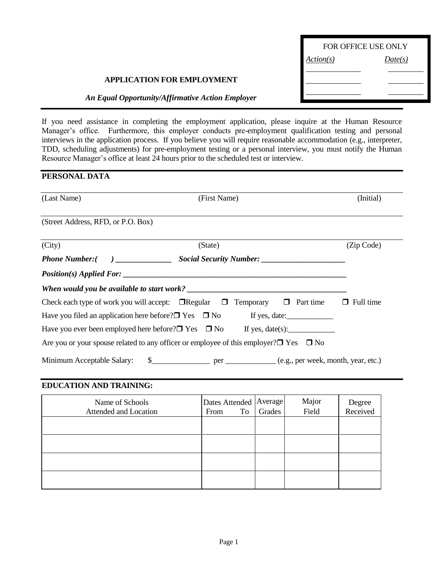| <b>FOR OFFICE USE ONLY</b> |         |  |  |  |
|----------------------------|---------|--|--|--|
| <u>Action(s)</u>           | Date(s) |  |  |  |
|                            |         |  |  |  |
|                            |         |  |  |  |

## **APPLICATION FOR EMPLOYMENT**

## *An Equal Opportunity/Affirmative Action Employer*

If you need assistance in completing the employment application, please inquire at the Human Resource Manager's office. Furthermore, this employer conducts pre-employment qualification testing and personal interviews in the application process. If you believe you will require reasonable accommodation (e.g., interpreter, TDD, scheduling adjustments) for pre-employment testing or a personal interview, you must notify the Human Resource Manager's office at least 24 hours prior to the scheduled test or interview.

# **PERSONAL DATA**

| (Last Name)                        | (First Name)                                                                                           | (Initial)        |
|------------------------------------|--------------------------------------------------------------------------------------------------------|------------------|
| (Street Address, RFD, or P.O. Box) |                                                                                                        |                  |
| (City)                             | (State)                                                                                                | (Zip Code)       |
|                                    |                                                                                                        |                  |
|                                    |                                                                                                        |                  |
|                                    |                                                                                                        |                  |
|                                    | Check each type of work you will accept: $\Box$ Regular $\Box$ Temporary $\Box$ Part time              | $\Box$ Full time |
|                                    | Have you filed an application here before? $\square$ Yes $\square$ No If yes, date:                    |                  |
|                                    | Have you ever been employed here before? $\square$ Yes $\square$ No If yes, date(s):                   |                  |
|                                    | Are you or your spouse related to any officer or employee of this employer? $\square$ Yes $\square$ No |                  |
|                                    |                                                                                                        |                  |

#### **EDUCATION AND TRAINING:**

| Name of Schools<br>Attended and Location | <b>Dates Attended</b><br>To<br>From | Average<br>Grades | Major<br>Field | Degree<br>Received |
|------------------------------------------|-------------------------------------|-------------------|----------------|--------------------|
|                                          |                                     |                   |                |                    |
|                                          |                                     |                   |                |                    |
|                                          |                                     |                   |                |                    |
|                                          |                                     |                   |                |                    |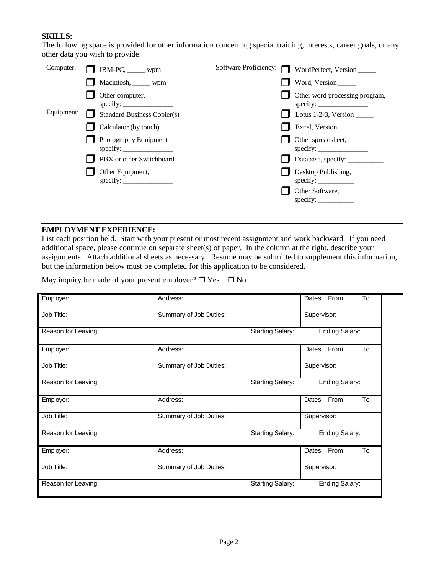## **SKILLS:**

The following space is provided for other information concerning special training, interests, career goals, or any other data you wish to provide.

| Macintosh, ______ wpm<br>Word, Version<br>Other word processing program,<br>Other computer,<br>specify:<br>Equipment:<br><b>Standard Business Copier(s)</b><br>Lotus 1-2-3, Version $\qquad$<br>Calculator (by touch)<br>Excel, Version<br>Photography Equipment<br>Other spreadsheet,<br>specify:<br>specify:<br>PBX or other Switchboard<br>Database, specify: __________<br>Desktop Publishing,<br>Other Equipment,<br>specify: $\frac{\ }{\ }$<br>Other Software,<br>specify: $\qquad \qquad$ | Computer: | $\Box$ IBM-PC, _____ wpm | Software Proficiency: $\Box$ | WordPerfect, Version |
|---------------------------------------------------------------------------------------------------------------------------------------------------------------------------------------------------------------------------------------------------------------------------------------------------------------------------------------------------------------------------------------------------------------------------------------------------------------------------------------------------|-----------|--------------------------|------------------------------|----------------------|
|                                                                                                                                                                                                                                                                                                                                                                                                                                                                                                   |           |                          |                              |                      |
|                                                                                                                                                                                                                                                                                                                                                                                                                                                                                                   |           |                          |                              |                      |
|                                                                                                                                                                                                                                                                                                                                                                                                                                                                                                   |           |                          |                              |                      |
|                                                                                                                                                                                                                                                                                                                                                                                                                                                                                                   |           |                          |                              |                      |
|                                                                                                                                                                                                                                                                                                                                                                                                                                                                                                   |           |                          |                              |                      |
|                                                                                                                                                                                                                                                                                                                                                                                                                                                                                                   |           |                          |                              |                      |
|                                                                                                                                                                                                                                                                                                                                                                                                                                                                                                   |           |                          |                              |                      |
|                                                                                                                                                                                                                                                                                                                                                                                                                                                                                                   |           |                          |                              |                      |

### **EMPLOYMENT EXPERIENCE:**

List each position held. Start with your present or most recent assignment and work backward. If you need additional space, please continue on separate sheet(s) of paper. In the column at the right, describe your assignments. Attach additional sheets as necessary. Resume may be submitted to supplement this information, but the information below must be completed for this application to be considered.

May inquiry be made of your present employer?  $\Box$  Yes  $\Box$  No

| Employer:           | Address:               |                         | To<br>Dates: From |
|---------------------|------------------------|-------------------------|-------------------|
| Job Title:          | Summary of Job Duties: |                         | Supervisor:       |
| Reason for Leaving: |                        | <b>Starting Salary:</b> | Ending Salary:    |
| Employer:           | Address:               |                         | Dates: From<br>To |
| Job Title:          | Summary of Job Duties: |                         | Supervisor:       |
| Reason for Leaving: |                        | <b>Starting Salary:</b> | Ending Salary:    |
|                     |                        |                         |                   |
| Employer:           | Address:               |                         | Dates: From<br>To |
| Job Title:          | Summary of Job Duties: |                         | Supervisor:       |
| Reason for Leaving: |                        | <b>Starting Salary:</b> | Ending Salary:    |
| Employer:           | Address:               |                         | Dates: From<br>To |
| Job Title:          | Summary of Job Duties: |                         | Supervisor:       |